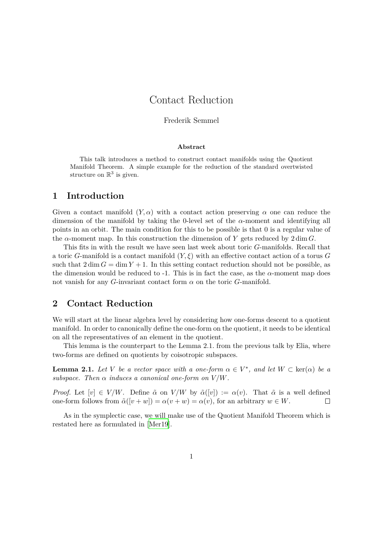# Contact Reduction

#### Frederik Semmel

#### **Abstract**

This talk introduces a method to construct contact manifolds using the Quotient Manifold Theorem. A simple example for the reduction of the standard overtwisted structure on  $\mathbb{R}^3$  is given.

### **1 Introduction**

Given a contact manifold  $(Y, \alpha)$  with a contact action preserving  $\alpha$  one can reduce the dimension of the manifold by taking the 0-level set of the *α*-moment and identifying all points in an orbit. The main condition for this to be possible is that 0 is a regular value of the  $\alpha$ -moment map. In this construction the dimension of Y gets reduced by  $2 \dim G$ .

This fits in with the result we have seen last week about toric *G*-manifolds. Recall that a toric *G*-manifold is a contact manifold (*Y, ξ*) with an effective contact action of a torus *G* such that  $2 \dim G = \dim Y + 1$ . In this setting contact reduction should not be possible, as the dimension would be reduced to  $-1$ . This is in fact the case, as the  $\alpha$ -moment map does not vanish for any *G*-invariant contact form  $\alpha$  on the toric *G*-manifold.

## **2 Contact Reduction**

We will start at the linear algebra level by considering how one-forms descent to a quotient manifold. In order to canonically define the one-form on the quotient, it needs to be identical on all the representatives of an element in the quotient.

This lemma is the counterpart to the Lemma 2.1. from the previous talk by Elia, where two-forms are defined on quotients by coisotropic subspaces.

**Lemma 2.1.** *Let V be a vector space with a one-form*  $\alpha \in V^*$ , and let  $W \subset \text{ker}(\alpha)$  *be a subspace. Then*  $\alpha$  *induces*  $\alpha$  *canonical one-form on*  $V/W$ *.* 

*Proof.* Let  $[v] \in V/W$ . Define  $\tilde{\alpha}$  on  $V/W$  by  $\tilde{\alpha}([v]) := \alpha(v)$ . That  $\tilde{\alpha}$  is a well defined one-form follows from  $\tilde{\alpha}([v+w]) = \alpha(v+w) = \alpha(v)$ , for an arbitrary  $w \in W$ .  $\Box$ 

As in the symplectic case, we will make use of the Quotient Manifold Theorem which is restated here as formulated in [Mer19].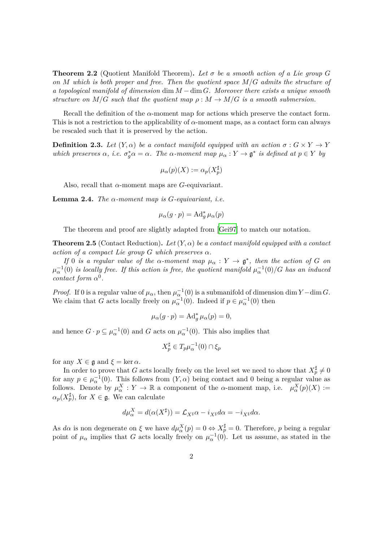**Theorem 2.2** (Quotient Manifold Theorem). Let  $\sigma$  be a smooth action of a Lie group G *on M which is both proper and free. Then the quotient space M/G admits the structure of a topological manifold of dimension* dim *M −*dim *G. Moreover there exists a unique smooth structure on*  $M/G$  *such that the quotient map*  $\rho : M \to M/G$  *is a smooth submersion.* 

Recall the definition of the *α*-moment map for actions which preserve the contact form. This is not a restriction to the applicability of  $\alpha$ -moment maps, as a contact form can always be rescaled such that it is preserved by the action.

**Definition 2.3.** *Let*  $(Y, \alpha)$  *be a contact manifold equipped with an action*  $\sigma : G \times Y \to Y$ which preserves  $\alpha$ , i.e.  $\sigma_g^* \alpha = \alpha$ . The  $\alpha$ -moment map  $\mu_\alpha : Y \to \mathfrak{g}^*$  is defined at  $p \in Y$  by

$$
\mu_{\alpha}(p)(X) := \alpha_p(X_p^{\sharp})
$$

Also, recall that *α*-moment maps are *G*-equivariant.

**Lemma 2.4.** *The α-moment map is G-equivariant, i.e.*

$$
\mu_{\alpha}(g \cdot p) = \operatorname{Ad}^*_{g} \mu_{\alpha}(p)
$$

The theorem and proof are slightly adapted from [Gei97] to match our notation.

**Theorem 2.5** (Contact Reduction). Let  $(Y, \alpha)$  be a contact manifold equipped with a contact *action of a compact Lie group*  $G$  *which preserves*  $\alpha$ *.* 

*If* 0 *is a regular value of the*  $\alpha$ *-moment map*  $\mu_{\alpha}: Y \to \mathfrak{g}^*$ , then the action of G on  $\mu_{\alpha}^{-1}(0)$  *is locally free. If this action is free, the quotient manifold*  $\mu_{\alpha}^{-1}(0)/G$  *has an induced contact form*  $\alpha^0$ *.* 

*Proof.* If 0 is a regular value of  $\mu_{\alpha}$ , then  $\mu_{\alpha}^{-1}(0)$  is a submanifold of dimension dim *Y* − dim *G*. We claim that *G* acts locally freely on  $\mu_{\alpha}^{-1}(0)$ . Indeed if  $p \in \mu_{\alpha}^{-1}(0)$  then

$$
\mu_{\alpha}(g \cdot p) = \mathrm{Ad}^*_{g} \,\mu_{\alpha}(p) = 0,
$$

and hence  $G \cdot p \subseteq \mu_{\alpha}^{-1}(0)$  and  $G$  acts on  $\mu_{\alpha}^{-1}(0)$ . This also implies that

$$
X_p^{\sharp} \in T_p \mu_{\alpha}^{-1}(0) \cap \xi_p
$$

for any  $X \in \mathfrak{g}$  and  $\xi = \ker \alpha$ .

In order to prove that *G* acts locally freely on the level set we need to show that  $X_p^{\sharp} \neq 0$ for any  $p \in \mu_{\alpha}^{-1}(0)$ . This follows from  $(Y, \alpha)$  being contact and 0 being a regular value as follows. Denote by  $\mu_{\alpha}^X : Y \to \mathbb{R}$  a component of the *α*-moment map, i.e.  $\mu_{\alpha}^X(p)(X) :=$  $\alpha_p(X_p^{\sharp})$ , for  $X \in \mathfrak{g}$ . We can calculate

$$
d\mu_{\alpha}^X = d(\alpha(X^{\sharp})) = \mathcal{L}_{X^{\sharp}}\alpha - i_{X^{\sharp}}d\alpha = -i_{X^{\sharp}}d\alpha.
$$

As  $d\alpha$  is non degenerate on  $\xi$  we have  $d\mu_{\alpha}^X(p) = 0 \Leftrightarrow X_p^{\sharp} = 0$ . Therefore, *p* being a regular point of  $\mu_{\alpha}$  implies that *G* acts locally freely on  $\mu_{\alpha}^{-1}(0)$ . Let us assume, as stated in the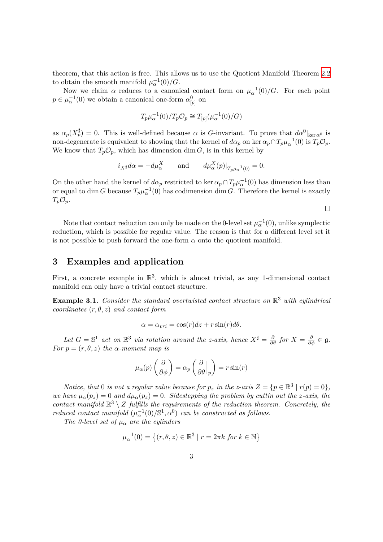theorem, that this action is free. This allows us to use the Quotient Manifold Theorem 2.2 to obtain the smooth manifold  $\mu_{\alpha}^{-1}(0)/G$ .

Now we claim  $\alpha$  reduces to a canonical contact form on  $\mu_{\alpha}^{-1}(0)/G$ . For each point  $p \in \mu_{\alpha}^{-1}(0)$  we obtain a canonical one-form  $\alpha_{[p]}^0$  on

$$
T_p \mu_\alpha^{-1}(0)/T_p \mathcal{O}_p \cong T_{[p]}(\mu_\alpha^{-1}(0)/G)
$$

as  $\alpha_p(X_p^{\sharp}) = 0$ . This is well-defined because  $\alpha$  is *G*-invariant. To prove that  $d\alpha^0|_{\text{ker }\alpha^0}$  is non-degenerate is equivalent to showing that the kernel of  $d\alpha_p$  on ker  $\alpha_p \cap T_p \mu_\alpha^{-1}(0)$  is  $T_p \mathcal{O}_p$ . We know that  $T_p \mathcal{O}_p$ , which has dimension dim *G*, is in this kernel by

$$
i_{X^{\sharp}}d\alpha = -d\mu_{\alpha}^{X}
$$
 and  $d\mu_{\alpha}^{X}(p)|_{T_{p}\mu_{\alpha}^{-1}(0)} = 0.$ 

On the other hand the kernel of  $d\alpha_p$  restricted to ker  $\alpha_p \cap T_p \mu_\alpha^{-1}(0)$  has dimension less than or equal to dim *G* because  $T_p\mu_\alpha^{-1}(0)$  has codimension dim *G*. Therefore the kernel is exactly  $T_p \mathcal{O}_p$ .

Note that contact reduction can only be made on the 0-level set  $\mu_{\alpha}^{-1}(0)$ , unlike symplectic reduction, which is possible for regular value. The reason is that for a different level set it is not possible to push forward the one-form  $\alpha$  onto the quotient manifold.

### **3 Examples and application**

First, a concrete example in  $\mathbb{R}^3$ , which is almost trivial, as any 1-dimensional contact manifold can only have a trivial contact structure.

**Example 3.1.** *Consider the standard overtwisted contact structure on* R <sup>3</sup> *with cylindrical coordinates* (*r, θ, z*) *and contact form*

$$
\alpha = \alpha_{vri} = \cos(r)dz + r\sin(r)d\theta.
$$

*Let*  $G = \mathbb{S}^1$  *act on*  $\mathbb{R}^3$  *via rotation around the z-axis, hence*  $X^{\sharp} = \frac{\partial}{\partial \theta}$  *for*  $X = \frac{\partial}{\partial \phi} \in \mathfrak{g}$ *. For*  $p = (r, \theta, z)$  *the*  $\alpha$ *-moment map is* 

$$
\mu_{\alpha}(p) \left( \frac{\partial}{\partial \phi} \right) = \alpha_p \left( \frac{\partial}{\partial \theta} \Big|_p \right) = r \sin(r)
$$

*Notice, that* 0 *is not a regular value because for*  $p_z$  *in the z-axis*  $Z = \{p \in \mathbb{R}^3 \mid r(p) = 0\}$ , *we have*  $\mu_{\alpha}(p_z) = 0$  *and*  $d\mu_{\alpha}(p_z) = 0$ *. Sidestepping the problem by cuttin out the z-axis, the contact manifold*  $\mathbb{R}^3 \setminus Z$  *fulfills the requirements of the reduction theorem. Concretely, the reduced contact manifold*  $(\mu_{\alpha}^{-1}(0)/\mathbb{S}^1, \alpha^0)$  *can be constructed as follows.* 

*The 0-level set of*  $\mu_{\alpha}$  *are the cylinders* 

$$
\mu_{\alpha}^{-1}(0) = \left\{ (r, \theta, z) \in \mathbb{R}^3 \mid r = 2\pi k \text{ for } k \in \mathbb{N} \right\}
$$

 $\Box$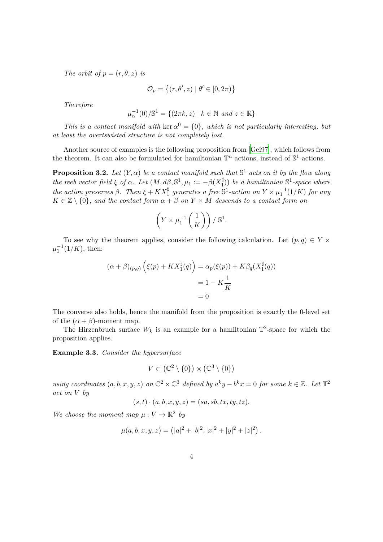*The orbit of*  $p = (r, \theta, z)$  *is* 

$$
\mathcal{O}_p = \{(r, \theta', z) \mid \theta' \in [0, 2\pi)\}
$$

*Therefore*

$$
\mu_{\alpha}^{-1}(0)/\mathbb{S}^1 = \{(2\pi k, z) \mid k \in \mathbb{N} \text{ and } z \in \mathbb{R}\}
$$

*This is a contact manifold with* ker  $\alpha^0 = \{0\}$ *, which is not particularly interesting, but at least the overtswisted structure is not completely lost.*

Another source of examples is the following proposition from [Gei97], which follows from the theorem. It can also be formulated for hamiltonian  $\mathbb{T}^n$  actions, instead of  $\mathbb{S}^1$  actions.

**Proposition 3.2.** Let  $(Y, \alpha)$  be a contact manifold such that  $\mathbb{S}^1$  acts on it by the flow along *the reeb vector field*  $\xi$  *of*  $\alpha$ *. Let*  $(M, d\beta, \mathbb{S}^1, \mu_1 := -\beta(X_1^{\sharp})$  $\binom{\sharp}{1}$ ) *be a h[amilto](#page-4-0)nian*  $\mathbb{S}^1$ -*space where the action preserves*  $\beta$ . Then  $\xi + KX_1^{\sharp}$  generates a free  $\mathbb{S}^1$ -action on  $Y \times \mu_1^{-1}(1/K)$  for any  $K \in \mathbb{Z} \setminus \{0\}$ *, and the contact form*  $\alpha + \beta$  *on*  $Y \times M$  *descends to a contact form on* 

$$
\left(Y \times \mu_1^{-1}\left(\frac{1}{K}\right)\right) / \mathbb{S}^1.
$$

To see why the theorem applies, consider the following calculation. Let  $(p, q) \in Y \times Y$  $\mu_1^{-1}(1/K)$ , then:

$$
(\alpha + \beta)_{(p,q)} (\xi(p) + K X_1^{\sharp}(q)) = \alpha_p(\xi(p)) + K \beta_q(X_1^{\sharp}(q))
$$
  
= 1 - K $\frac{1}{K}$   
= 0

The converse also holds, hence the manifold from the proposition is exactly the 0-level set of the  $(\alpha + \beta)$ -moment map.

The Hirzenbruch surface  $W_k$  is an example for a hamiltonian  $\mathbb{T}^2$ -space for which the proposition applies.

**Example 3.3.** *Consider the hypersurface*

$$
V \subset (\mathbb{C}^2 \setminus \{0\}) \times (\mathbb{C}^3 \setminus \{0\})
$$

*using coordinates*  $(a, b, x, y, z)$  *on*  $\mathbb{C}^2 \times \mathbb{C}^3$  *defined by*  $a^k y - b^k x = 0$  *for some*  $k \in \mathbb{Z}$ *. Let*  $\mathbb{T}^2$ *act on V by*

$$
(s,t)\cdot (a,b,x,y,z)=(sa,sb,tx,ty,tz).
$$

*We choose the moment map*  $\mu: V \to \mathbb{R}^2$  by

$$
\mu(a, b, x, y, z) = (|a|^2 + |b|^2, |x|^2 + |y|^2 + |z|^2).
$$